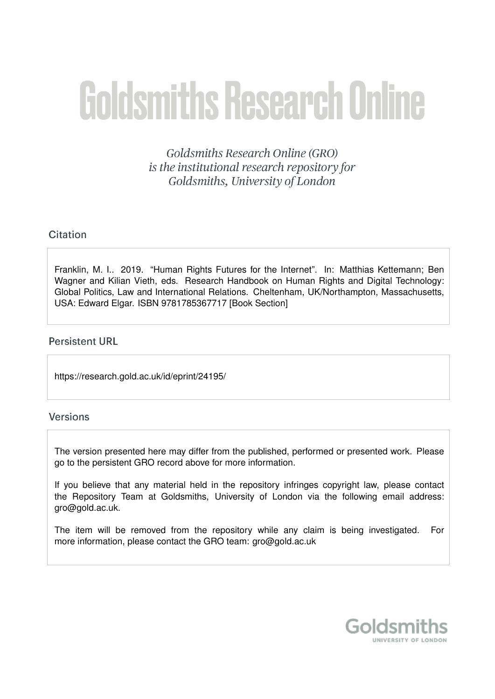# **Goldsmiths Research Online**

Goldsmiths Research Online (GRO) is the institutional research repository for Goldsmiths, University of London

# Citation

Franklin, M. I.. 2019. "Human Rights Futures for the Internet". In: Matthias Kettemann; Ben Wagner and Kilian Vieth, eds. Research Handbook on Human Rights and Digital Technology: Global Politics, Law and International Relations. Cheltenham, UK/Northampton, Massachusetts, USA: Edward Elgar. ISBN 9781785367717 [Book Section]

# **Persistent URL**

https://research.gold.ac.uk/id/eprint/24195/

# Versions

The version presented here may differ from the published, performed or presented work. Please go to the persistent GRO record above for more information.

If you believe that any material held in the repository infringes copyright law, please contact the Repository Team at Goldsmiths, University of London via the following email address: gro@gold.ac.uk.

The item will be removed from the repository while any claim is being investigated. For more information, please contact the GRO team: gro@gold.ac.uk

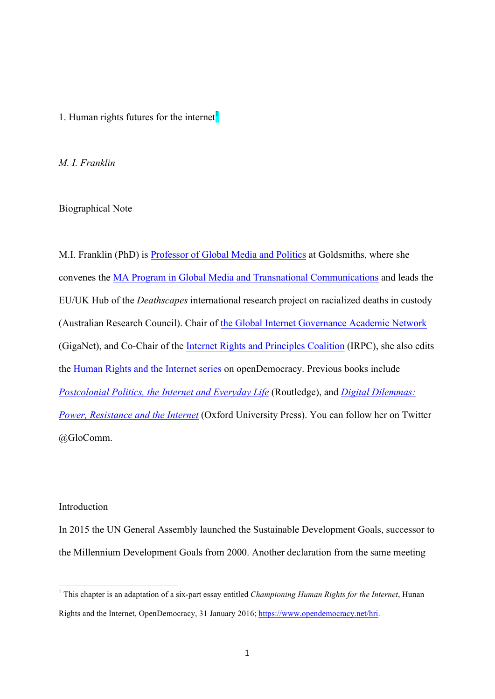# 1. Human rights futures for the internet $<sup>1</sup>$ </sup>

*M. I. Franklin* 

Biographical Note

M.I. Franklin (PhD) is Professor of Global Media and Politics at Goldsmiths, where she convenes the MA Program in Global Media and Transnational Communications and leads the EU/UK Hub of the *Deathscapes* international research project on racialized deaths in custody (Australian Research Council). Chair of the Global Internet Governance Academic Network (GigaNet), and Co-Chair of the Internet Rights and Principles Coalition (IRPC), she also edits the Human Rights and the Internet series on openDemocracy. Previous books include *Postcolonial Politics, the Internet and Everyday Life* (Routledge), and *Digital Dilemmas: Power, Resistance and the Internet* (Oxford University Press). You can follow her on Twitter @GloComm.

#### Introduction

In 2015 the UN General Assembly launched the Sustainable Development Goals, successor to the Millennium Development Goals from 2000. Another declaration from the same meeting

<sup>1</sup> This chapter is an adaptation of a six-part essay entitled *Championing Human Rights for the Internet*, Hunan Rights and the Internet, OpenDemocracy, 31 January 2016; https://www.opendemocracy.net/hri.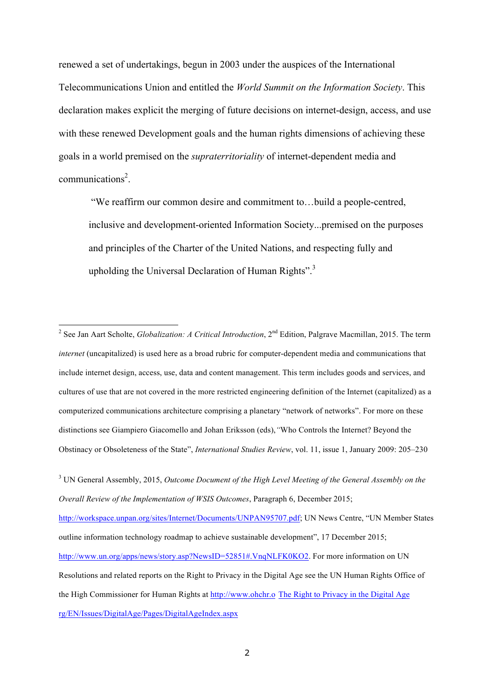renewed a set of undertakings, begun in 2003 under the auspices of the International Telecommunications Union and entitled the *World Summit on the Information Society*. This declaration makes explicit the merging of future decisions on internet-design, access, and use with these renewed Development goals and the human rights dimensions of achieving these goals in a world premised on the *supraterritoriality* of internet-dependent media and communications<sup>2</sup>.

"We reaffirm our common desire and commitment to…build a people-centred, inclusive and development-oriented Information Society...premised on the purposes and principles of the Charter of the United Nations, and respecting fully and upholding the Universal Declaration of Human Rights".<sup>3</sup>

<sup>3</sup> UN General Assembly, 2015, *Outcome Document of the High Level Meeting of the General Assembly on the Overall Review of the Implementation of WSIS Outcomes*, Paragraph 6, December 2015; http://workspace.unpan.org/sites/Internet/Documents/UNPAN95707.pdf; UN News Centre, "UN Member States outline information technology roadmap to achieve sustainable development", 17 December 2015; http://www.un.org/apps/news/story.asp?NewsID=52851#.VnqNLFK0KO2. For more information on UN Resolutions and related reports on the Right to Privacy in the Digital Age see the UN Human Rights Office of the High Commissioner for Human Rights at http://www.ohchr.o The Right to Privacy in the Digital Age rg/EN/Issues/DigitalAge/Pages/DigitalAgeIndex.aspx

<sup>&</sup>lt;sup>2</sup> See Jan Aart Scholte, *Globalization: A Critical Introduction*, 2<sup>nd</sup> Edition, Palgrave Macmillan, 2015. The term *internet* (uncapitalized) is used here as a broad rubric for computer-dependent media and communications that include internet design, access, use, data and content management. This term includes goods and services, and cultures of use that are not covered in the more restricted engineering definition of the Internet (capitalized) as a computerized communications architecture comprising a planetary "network of networks". For more on these distinctions see Giampiero Giacomello and Johan Eriksson (eds),*"*Who Controls the Internet? Beyond the Obstinacy or Obsoleteness of the State", *International Studies Review*, vol. 11, issue 1, January 2009: 205–230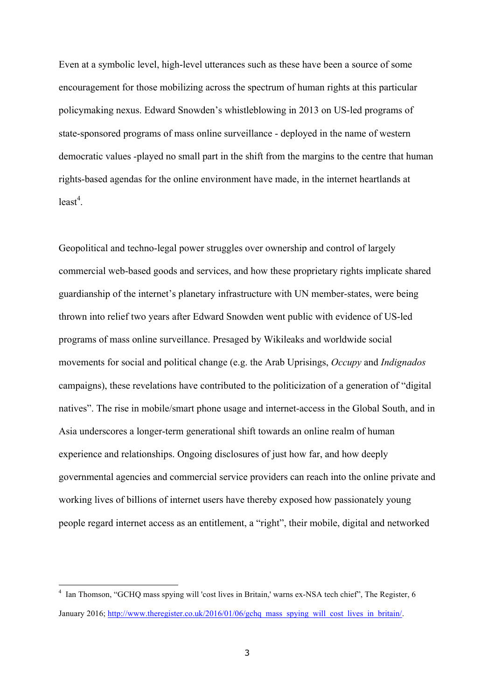Even at a symbolic level, high-level utterances such as these have been a source of some encouragement for those mobilizing across the spectrum of human rights at this particular policymaking nexus. Edward Snowden's whistleblowing in 2013 on US-led programs of state-sponsored programs of mass online surveillance - deployed in the name of western democratic values -played no small part in the shift from the margins to the centre that human rights-based agendas for the online environment have made, in the internet heartlands at  $least<sup>4</sup>$ .

Geopolitical and techno-legal power struggles over ownership and control of largely commercial web-based goods and services, and how these proprietary rights implicate shared guardianship of the internet's planetary infrastructure with UN member-states, were being thrown into relief two years after Edward Snowden went public with evidence of US-led programs of mass online surveillance. Presaged by Wikileaks and worldwide social movements for social and political change (e.g. the Arab Uprisings, *Occupy* and *Indignados* campaigns), these revelations have contributed to the politicization of a generation of "digital natives". The rise in mobile/smart phone usage and internet-access in the Global South, and in Asia underscores a longer-term generational shift towards an online realm of human experience and relationships. Ongoing disclosures of just how far, and how deeply governmental agencies and commercial service providers can reach into the online private and working lives of billions of internet users have thereby exposed how passionately young people regard internet access as an entitlement, a "right", their mobile, digital and networked

<sup>4</sup> Ian Thomson, "GCHQ mass spying will 'cost lives in Britain,' warns ex-NSA tech chief", The Register, 6 January 2016; http://www.theregister.co.uk/2016/01/06/gchq\_mass\_spying\_will\_cost\_lives\_in\_britain/.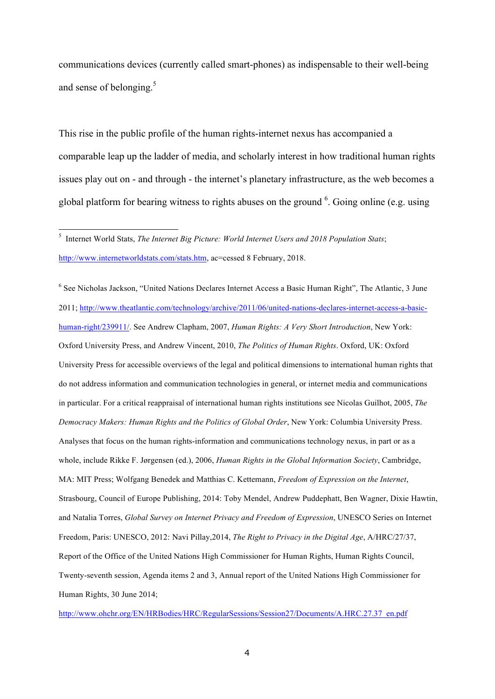communications devices (currently called smart-phones) as indispensable to their well-being and sense of belonging.<sup>5</sup>

This rise in the public profile of the human rights-internet nexus has accompanied a comparable leap up the ladder of media, and scholarly interest in how traditional human rights issues play out on - and through - the internet's planetary infrastructure, as the web becomes a global platform for bearing witness to rights abuses on the ground  $6$ . Going online (e.g. using

<sup>6</sup> See Nicholas Jackson, "United Nations Declares Internet Access a Basic Human Right", The Atlantic, 3 June 2011; http://www.theatlantic.com/technology/archive/2011/06/united-nations-declares-internet-access-a-basichuman-right/239911/. See Andrew Clapham, 2007, *Human Rights: A Very Short Introduction*, New York: Oxford University Press, and Andrew Vincent, 2010, *The Politics of Human Rights*. Oxford, UK: Oxford University Press for accessible overviews of the legal and political dimensions to international human rights that do not address information and communication technologies in general, or internet media and communications in particular. For a critical reappraisal of international human rights institutions see Nicolas Guilhot, 2005, *The Democracy Makers: Human Rights and the Politics of Global Order*, New York: Columbia University Press. Analyses that focus on the human rights-information and communications technology nexus, in part or as a whole, include Rikke F. Jørgensen (ed.), 2006, *Human Rights in the Global Information Society*, Cambridge, MA: MIT Press; Wolfgang Benedek and Matthias C. Kettemann, *Freedom of Expression on the Internet*, Strasbourg, Council of Europe Publishing, 2014: Toby Mendel, Andrew Puddephatt, Ben Wagner, Dixie Hawtin, and Natalia Torres, *Global Survey on Internet Privacy and Freedom of Expression*, UNESCO Series on Internet Freedom, Paris: UNESCO, 2012: Navi Pillay,2014, *The Right to Privacy in the Digital Age*, A/HRC/27/37, Report of the Office of the United Nations High Commissioner for Human Rights, Human Rights Council, Twenty-seventh session, Agenda items 2 and 3, Annual report of the United Nations High Commissioner for Human Rights, 30 June 2014;

http://www.ohchr.org/EN/HRBodies/HRC/RegularSessions/Session27/Documents/A.HRC.27.37\_en.pdf

<sup>5</sup> Internet World Stats, *The Internet Big Picture: World Internet Users and 2018 Population Stats*; http://www.internetworldstats.com/stats.htm, ac=cessed 8 February, 2018.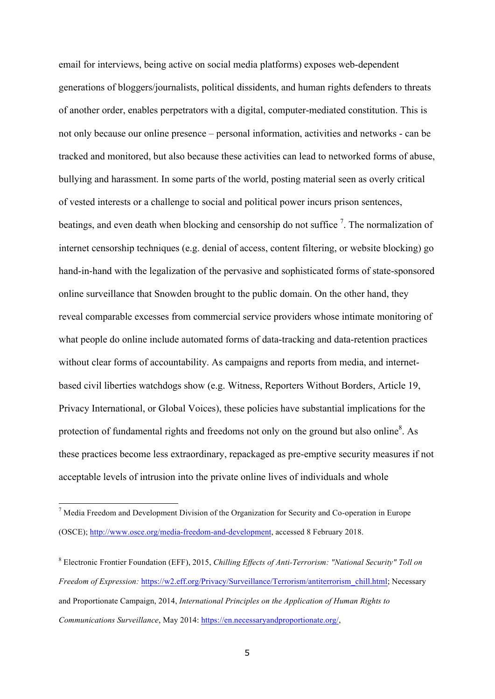email for interviews, being active on social media platforms) exposes web-dependent generations of bloggers/journalists, political dissidents, and human rights defenders to threats of another order, enables perpetrators with a digital, computer-mediated constitution. This is not only because our online presence – personal information, activities and networks - can be tracked and monitored, but also because these activities can lead to networked forms of abuse, bullying and harassment. In some parts of the world, posting material seen as overly critical of vested interests or a challenge to social and political power incurs prison sentences, beatings, and even death when blocking and censorship do not suffice  $\frac{7}{1}$ . The normalization of internet censorship techniques (e.g. denial of access, content filtering, or website blocking) go hand-in-hand with the legalization of the pervasive and sophisticated forms of state-sponsored online surveillance that Snowden brought to the public domain. On the other hand, they reveal comparable excesses from commercial service providers whose intimate monitoring of what people do online include automated forms of data-tracking and data-retention practices without clear forms of accountability. As campaigns and reports from media, and internetbased civil liberties watchdogs show (e.g. Witness, Reporters Without Borders, Article 19, Privacy International, or Global Voices), these policies have substantial implications for the protection of fundamental rights and freedoms not only on the ground but also online<sup>8</sup>. As these practices become less extraordinary, repackaged as pre-emptive security measures if not acceptable levels of intrusion into the private online lives of individuals and whole

<sup>7</sup> Media Freedom and Development Division of the Organization for Security and Co-operation in Europe (OSCE); http://www.osce.org/media-freedom-and-development, accessed 8 February 2018.

<sup>8</sup> Electronic Frontier Foundation (EFF), 2015, *Chilling Effects of Anti-Terrorism: "National Security" Toll on Freedom of Expression:* https://w2.eff.org/Privacy/Surveillance/Terrorism/antiterrorism\_chill.html; Necessary and Proportionate Campaign, 2014, *International Principles on the Application of Human Rights to Communications Surveillance*, May 2014: https://en.necessaryandproportionate.org/,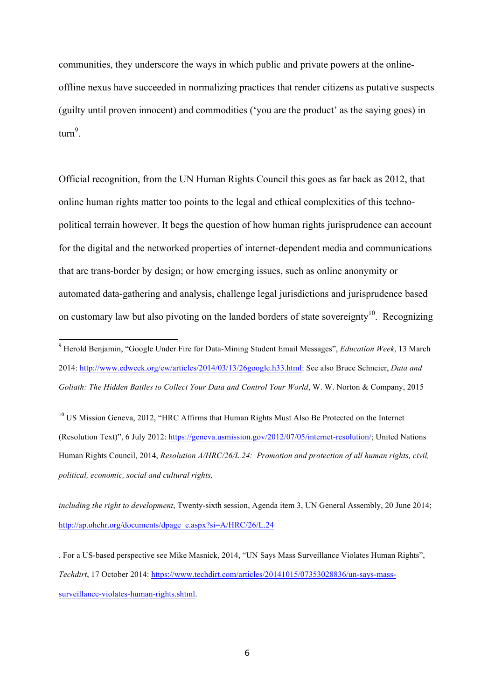communities, they underscore the ways in which public and private powers at the onlineoffline nexus have succeeded in normalizing practices that render citizens as putative suspects (guilty until proven innocent) and commodities ('you are the product' as the saying goes) in turn<sup>9</sup>.

Official recognition, from the UN Human Rights Council this goes as far back as 2012, that online human rights matter too points to the legal and ethical complexities of this technopolitical terrain however. It begs the question of how human rights jurisprudence can account for the digital and the networked properties of internet-dependent media and communications that are trans-border by design; or how emerging issues, such as online anonymity or automated data-gathering and analysis, challenge legal jurisdictions and jurisprudence based on customary law but also pivoting on the landed borders of state sovereignty<sup>10</sup>. Recognizing

-

<sup>10</sup> US Mission Geneva, 2012, "HRC Affirms that Human Rights Must Also Be Protected on the Internet (Resolution Text)", 6 July 2012: https://geneva.usmission.gov/2012/07/05/internet-resolution/; United Nations Human Rights Council, 2014, *Resolution A/HRC/26/L.24: Promotion and protection of all human rights, civil, political, economic, social and cultural rights,*

*including the right to development*, Twenty-sixth session, Agenda item 3, UN General Assembly, 20 June 2014; http://ap.ohchr.org/documents/dpage\_e.aspx?si=A/HRC/26/L.24

<sup>9</sup> Herold Benjamin, "Google Under Fire for Data-Mining Student Email Messages", *Education Week*, 13 March 2014: http://www.edweek.org/ew/articles/2014/03/13/26google.h33.html: See also Bruce Schneier, *Data and Goliath: The Hidden Battles to Collect Your Data and Control Your World*, W. W. Norton & Company, 2015

<sup>.</sup> For a US-based perspective see Mike Masnick, 2014, "UN Says Mass Surveillance Violates Human Rights", *Techdirt*, 17 October 2014: https://www.techdirt.com/articles/20141015/07353028836/un-says-masssurveillance-violates-human-rights.shtml.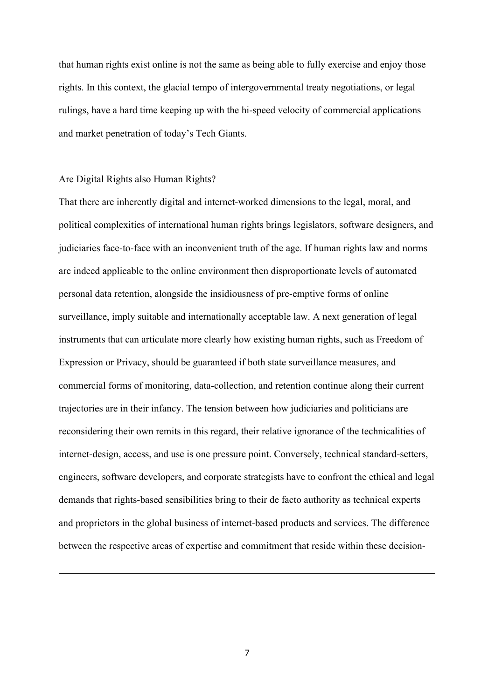that human rights exist online is not the same as being able to fully exercise and enjoy those rights. In this context, the glacial tempo of intergovernmental treaty negotiations, or legal rulings, have a hard time keeping up with the hi-speed velocity of commercial applications and market penetration of today's Tech Giants.

#### Are Digital Rights also Human Rights?

l

That there are inherently digital and internet-worked dimensions to the legal, moral, and political complexities of international human rights brings legislators, software designers, and judiciaries face-to-face with an inconvenient truth of the age. If human rights law and norms are indeed applicable to the online environment then disproportionate levels of automated personal data retention, alongside the insidiousness of pre-emptive forms of online surveillance, imply suitable and internationally acceptable law. A next generation of legal instruments that can articulate more clearly how existing human rights, such as Freedom of Expression or Privacy, should be guaranteed if both state surveillance measures, and commercial forms of monitoring, data-collection, and retention continue along their current trajectories are in their infancy. The tension between how judiciaries and politicians are reconsidering their own remits in this regard, their relative ignorance of the technicalities of internet-design, access, and use is one pressure point. Conversely, technical standard-setters, engineers, software developers, and corporate strategists have to confront the ethical and legal demands that rights-based sensibilities bring to their de facto authority as technical experts and proprietors in the global business of internet-based products and services. The difference between the respective areas of expertise and commitment that reside within these decision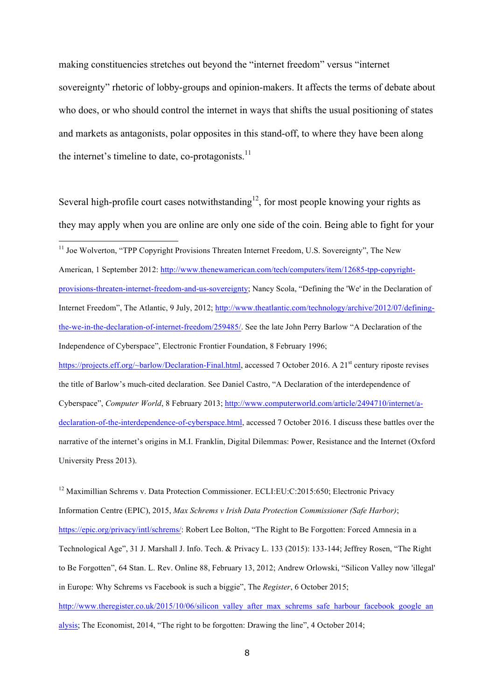making constituencies stretches out beyond the "internet freedom" versus "internet sovereignty" rhetoric of lobby-groups and opinion-makers. It affects the terms of debate about who does, or who should control the internet in ways that shifts the usual positioning of states and markets as antagonists, polar opposites in this stand-off, to where they have been along the internet's timeline to date, co-protagonists. $11$ 

Several high-profile court cases notwithstanding<sup>12</sup>, for most people knowing your rights as they may apply when you are online are only one side of the coin. Being able to fight for your

-

American, 1 September 2012: http://www.thenewamerican.com/tech/computers/item/12685-tpp-copyrightprovisions-threaten-internet-freedom-and-us-sovereignty; Nancy Scola, "Defining the 'We' in the Declaration of Internet Freedom", The Atlantic, 9 July, 2012; http://www.theatlantic.com/technology/archive/2012/07/definingthe-we-in-the-declaration-of-internet-freedom/259485/. See the late John Perry Barlow "A Declaration of the Independence of Cyberspace", Electronic Frontier Foundation, 8 February 1996;

https://projects.eff.org/~barlow/Declaration-Final.html, accessed 7 October 2016. A 21<sup>st</sup> century riposte revises the title of Barlow's much-cited declaration. See Daniel Castro, "A Declaration of the interdependence of Cyberspace", *Computer World*, 8 February 2013; http://www.computerworld.com/article/2494710/internet/adeclaration-of-the-interdependence-of-cyberspace.html, accessed 7 October 2016. I discuss these battles over the narrative of the internet's origins in M.I. Franklin, Digital Dilemmas: Power, Resistance and the Internet (Oxford University Press 2013).

 $12$  Maximillian Schrems v. Data Protection Commissioner. ECLI:EU:C:2015:650; Electronic Privacy Information Centre (EPIC), 2015, *Max Schrems v Irish Data Protection Commissioner (Safe Harbor)*; https://epic.org/privacy/intl/schrems/: Robert Lee Bolton, "The Right to Be Forgotten: Forced Amnesia in a Technological Age", 31 J. Marshall J. Info. Tech. & Privacy L. 133 (2015): 133-144; Jeffrey Rosen, "The Right to Be Forgotten", 64 Stan. L. Rev. Online 88, February 13, 2012; Andrew Orlowski, "Silicon Valley now 'illegal' in Europe: Why Schrems vs Facebook is such a biggie", The *Register*, 6 October 2015; http://www.theregister.co.uk/2015/10/06/silicon\_valley\_after\_max\_schrems\_safe\_harbour\_facebook\_google\_an alysis; The Economist, 2014, "The right to be forgotten: Drawing the line", 4 October 2014;

<sup>&</sup>lt;sup>11</sup> Joe Wolverton, "TPP Copyright Provisions Threaten Internet Freedom, U.S. Sovereignty", The New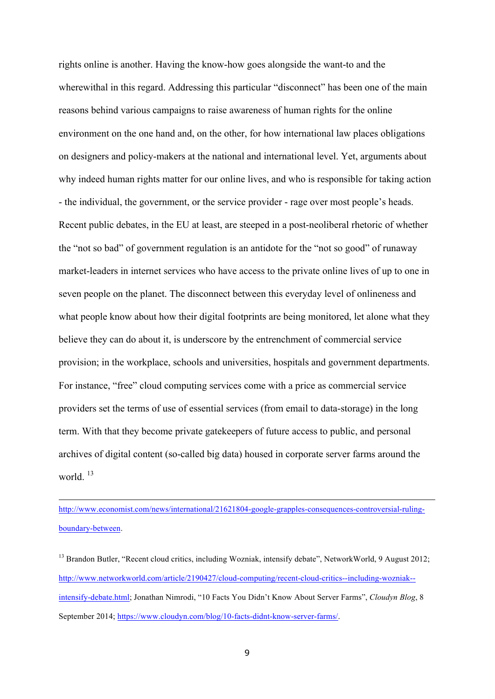rights online is another. Having the know-how goes alongside the want-to and the wherewithal in this regard. Addressing this particular "disconnect" has been one of the main reasons behind various campaigns to raise awareness of human rights for the online environment on the one hand and, on the other, for how international law places obligations on designers and policy-makers at the national and international level. Yet, arguments about why indeed human rights matter for our online lives, and who is responsible for taking action - the individual, the government, or the service provider - rage over most people's heads. Recent public debates, in the EU at least, are steeped in a post-neoliberal rhetoric of whether the "not so bad" of government regulation is an antidote for the "not so good" of runaway market-leaders in internet services who have access to the private online lives of up to one in seven people on the planet. The disconnect between this everyday level of onlineness and what people know about how their digital footprints are being monitored, let alone what they believe they can do about it, is underscore by the entrenchment of commercial service provision; in the workplace, schools and universities, hospitals and government departments. For instance, "free" cloud computing services come with a price as commercial service providers set the terms of use of essential services (from email to data-storage) in the long term. With that they become private gatekeepers of future access to public, and personal archives of digital content (so-called big data) housed in corporate server farms around the world.<sup>13</sup>

http://www.economist.com/news/international/21621804-google-grapples-consequences-controversial-rulingboundary-between.

l

<sup>13</sup> Brandon Butler, "Recent cloud critics, including Wozniak, intensify debate", NetworkWorld, 9 August 2012; http://www.networkworld.com/article/2190427/cloud-computing/recent-cloud-critics--including-wozniak- intensify-debate.html; Jonathan Nimrodi, "10 Facts You Didn't Know About Server Farms", *Cloudyn Blog*, 8 September 2014; https://www.cloudyn.com/blog/10-facts-didnt-know-server-farms/.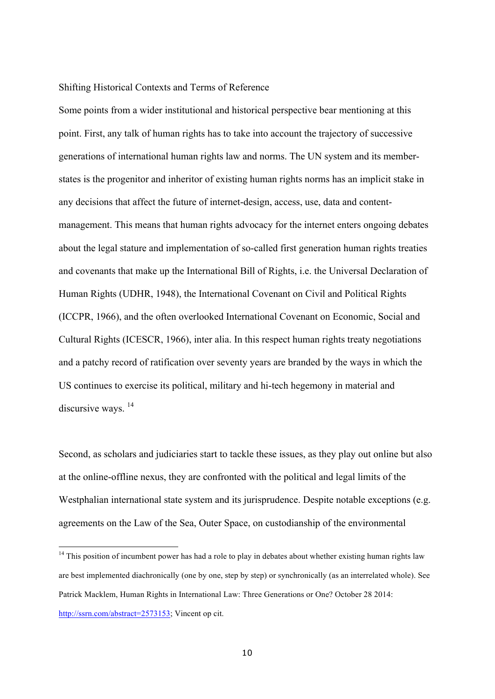## Shifting Historical Contexts and Terms of Reference

Some points from a wider institutional and historical perspective bear mentioning at this point. First, any talk of human rights has to take into account the trajectory of successive generations of international human rights law and norms. The UN system and its memberstates is the progenitor and inheritor of existing human rights norms has an implicit stake in any decisions that affect the future of internet-design, access, use, data and contentmanagement. This means that human rights advocacy for the internet enters ongoing debates about the legal stature and implementation of so-called first generation human rights treaties and covenants that make up the International Bill of Rights, i.e. the Universal Declaration of Human Rights (UDHR, 1948), the International Covenant on Civil and Political Rights (ICCPR, 1966), and the often overlooked International Covenant on Economic, Social and Cultural Rights (ICESCR, 1966), inter alia. In this respect human rights treaty negotiations and a patchy record of ratification over seventy years are branded by the ways in which the US continues to exercise its political, military and hi-tech hegemony in material and discursive ways.<sup>14</sup>

Second, as scholars and judiciaries start to tackle these issues, as they play out online but also at the online-offline nexus, they are confronted with the political and legal limits of the Westphalian international state system and its jurisprudence. Despite notable exceptions (e.g. agreements on the Law of the Sea, Outer Space, on custodianship of the environmental

<sup>&</sup>lt;sup>14</sup> This position of incumbent power has had a role to play in debates about whether existing human rights law are best implemented diachronically (one by one, step by step) or synchronically (as an interrelated whole). See Patrick Macklem, Human Rights in International Law: Three Generations or One? October 28 2014: http://ssrn.com/abstract=2573153; Vincent op cit.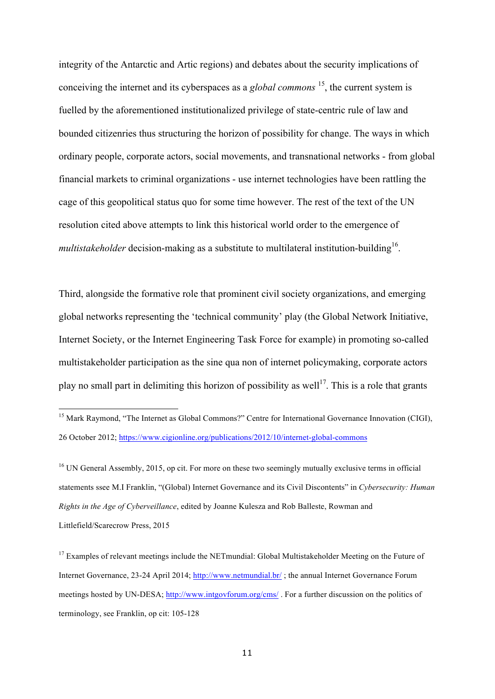integrity of the Antarctic and Artic regions) and debates about the security implications of conceiving the internet and its cyberspaces as a *global commons* <sup>15</sup>, the current system is fuelled by the aforementioned institutionalized privilege of state-centric rule of law and bounded citizenries thus structuring the horizon of possibility for change. The ways in which ordinary people, corporate actors, social movements, and transnational networks - from global financial markets to criminal organizations - use internet technologies have been rattling the cage of this geopolitical status quo for some time however. The rest of the text of the UN resolution cited above attempts to link this historical world order to the emergence of *multistakeholder* decision-making as a substitute to multilateral institution-building<sup>16</sup>.

Third, alongside the formative role that prominent civil society organizations, and emerging global networks representing the 'technical community' play (the Global Network Initiative, Internet Society, or the Internet Engineering Task Force for example) in promoting so-called multistakeholder participation as the sine qua non of internet policymaking, corporate actors play no small part in delimiting this horizon of possibility as well<sup>17</sup>. This is a role that grants

<sup>16</sup> UN General Assembly, 2015, op cit. For more on these two seemingly mutually exclusive terms in official statements ssee M.I Franklin, "(Global) Internet Governance and its Civil Discontents" in *Cybersecurity: Human Rights in the Age of Cyberveillance*, edited by Joanne Kulesza and Rob Balleste, Rowman and Littlefield/Scarecrow Press, 2015

<sup>&</sup>lt;sup>15</sup> Mark Raymond, "The Internet as Global Commons?" Centre for International Governance Innovation (CIGI), 26 October 2012; https://www.cigionline.org/publications/2012/10/internet-global-commons

<sup>&</sup>lt;sup>17</sup> Examples of relevant meetings include the NETmundial: Global Multistakeholder Meeting on the Future of Internet Governance, 23-24 April 2014; http://www.netmundial.br/ ; the annual Internet Governance Forum meetings hosted by UN-DESA; http://www.intgovforum.org/cms/ . For a further discussion on the politics of terminology, see Franklin, op cit: 105-128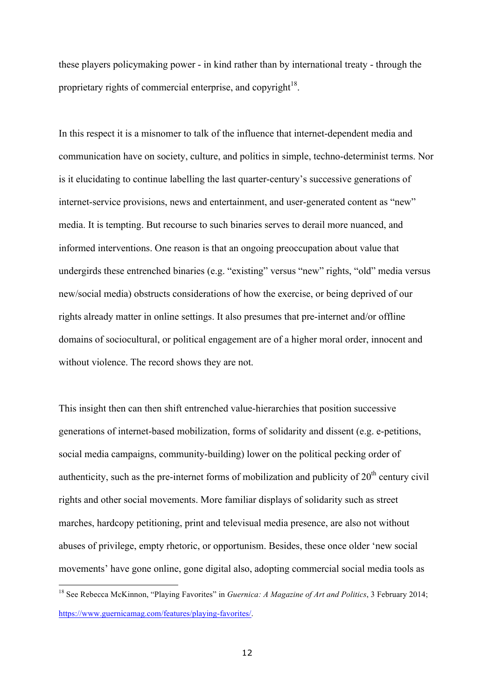these players policymaking power - in kind rather than by international treaty - through the proprietary rights of commercial enterprise, and copyright $18$ .

In this respect it is a misnomer to talk of the influence that internet-dependent media and communication have on society, culture, and politics in simple, techno-determinist terms. Nor is it elucidating to continue labelling the last quarter-century's successive generations of internet-service provisions, news and entertainment, and user-generated content as "new" media. It is tempting. But recourse to such binaries serves to derail more nuanced, and informed interventions. One reason is that an ongoing preoccupation about value that undergirds these entrenched binaries (e.g. "existing" versus "new" rights, "old" media versus new/social media) obstructs considerations of how the exercise, or being deprived of our rights already matter in online settings. It also presumes that pre-internet and/or offline domains of sociocultural, or political engagement are of a higher moral order, innocent and without violence. The record shows they are not.

This insight then can then shift entrenched value-hierarchies that position successive generations of internet-based mobilization, forms of solidarity and dissent (e.g. e-petitions, social media campaigns, community-building) lower on the political pecking order of authenticity, such as the pre-internet forms of mobilization and publicity of  $20<sup>th</sup>$  century civil rights and other social movements. More familiar displays of solidarity such as street marches, hardcopy petitioning, print and televisual media presence, are also not without abuses of privilege, empty rhetoric, or opportunism. Besides, these once older 'new social movements' have gone online, gone digital also, adopting commercial social media tools as

<sup>18</sup> See Rebecca McKinnon, "Playing Favorites" in *Guernica: A Magazine of Art and Politics*, 3 February 2014; https://www.guernicamag.com/features/playing-favorites/.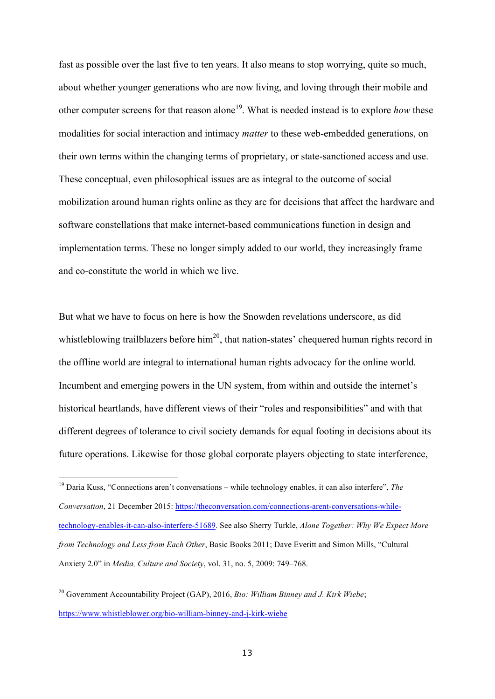fast as possible over the last five to ten years. It also means to stop worrying, quite so much, about whether younger generations who are now living, and loving through their mobile and other computer screens for that reason alone<sup>19</sup>. What is needed instead is to explore *how* these modalities for social interaction and intimacy *matter* to these web-embedded generations, on their own terms within the changing terms of proprietary, or state-sanctioned access and use. These conceptual, even philosophical issues are as integral to the outcome of social mobilization around human rights online as they are for decisions that affect the hardware and software constellations that make internet-based communications function in design and implementation terms. These no longer simply added to our world, they increasingly frame and co-constitute the world in which we live.

But what we have to focus on here is how the Snowden revelations underscore, as did whistleblowing trailblazers before him<sup>20</sup>, that nation-states' chequered human rights record in the offline world are integral to international human rights advocacy for the online world. Incumbent and emerging powers in the UN system, from within and outside the internet's historical heartlands, have different views of their "roles and responsibilities" and with that different degrees of tolerance to civil society demands for equal footing in decisions about its future operations. Likewise for those global corporate players objecting to state interference,

<sup>19</sup> Daria Kuss, "Connections aren't conversations – while technology enables, it can also interfere", *The Conversation*, 21 December 2015: https://theconversation.com/connections-arent-conversations-whiletechnology-enables-it-can-also-interfere-51689. See also Sherry Turkle, *Alone Together: Why We Expect More from Technology and Less from Each Other*, Basic Books 2011; Dave Everitt and Simon Mills, "Cultural Anxiety 2.0" in *Media, Culture and Society*, vol. 31, no. 5, 2009: 749–768.

<sup>20</sup> Government Accountability Project (GAP), 2016, *Bio: William Binney and J. Kirk Wiebe*; https://www.whistleblower.org/bio-william-binney-and-j-kirk-wiebe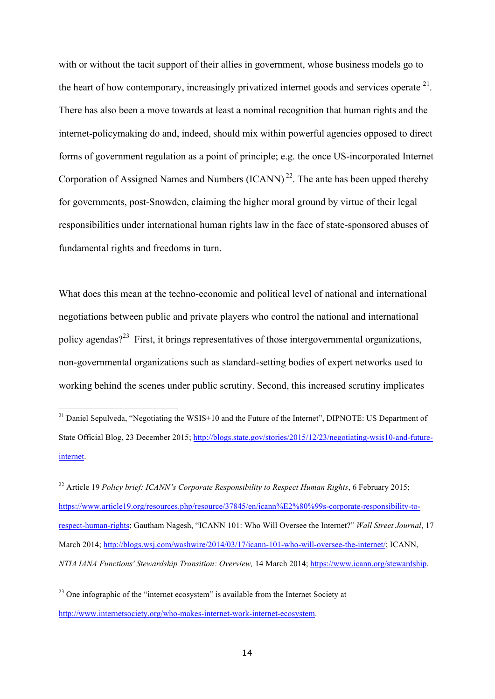with or without the tacit support of their allies in government, whose business models go to the heart of how contemporary, increasingly privatized internet goods and services operate  $21$ . There has also been a move towards at least a nominal recognition that human rights and the internet-policymaking do and, indeed, should mix within powerful agencies opposed to direct forms of government regulation as a point of principle; e.g. the once US-incorporated Internet Corporation of Assigned Names and Numbers  $(ICANN)^{22}$ . The ante has been upped thereby for governments, post-Snowden, claiming the higher moral ground by virtue of their legal responsibilities under international human rights law in the face of state-sponsored abuses of fundamental rights and freedoms in turn.

What does this mean at the techno-economic and political level of national and international negotiations between public and private players who control the national and international policy agendas?<sup>23</sup> First, it brings representatives of those intergovernmental organizations, non-governmental organizations such as standard-setting bodies of expert networks used to working behind the scenes under public scrutiny. Second, this increased scrutiny implicates

 $^{21}$  Daniel Sepulveda, "Negotiating the WSIS+10 and the Future of the Internet", DIPNOTE: US Department of State Official Blog, 23 December 2015; http://blogs.state.gov/stories/2015/12/23/negotiating-wsis10-and-futureinternet.

<sup>22</sup> Article 19 *Policy brief: ICANN's Corporate Responsibility to Respect Human Rights*, 6 February 2015; https://www.article19.org/resources.php/resource/37845/en/icann%E2%80%99s-corporate-responsibility-torespect-human-rights; Gautham Nagesh, "ICANN 101: Who Will Oversee the Internet?" *Wall Street Journal*, 17 March 2014; http://blogs.wsj.com/washwire/2014/03/17/icann-101-who-will-oversee-the-internet/; ICANN, *NTIA IANA Functions' Stewardship Transition: Overview,* 14 March 2014; https://www.icann.org/stewardship.

 $23$  One infographic of the "internet ecosystem" is available from the Internet Society at http://www.internetsociety.org/who-makes-internet-work-internet-ecosystem.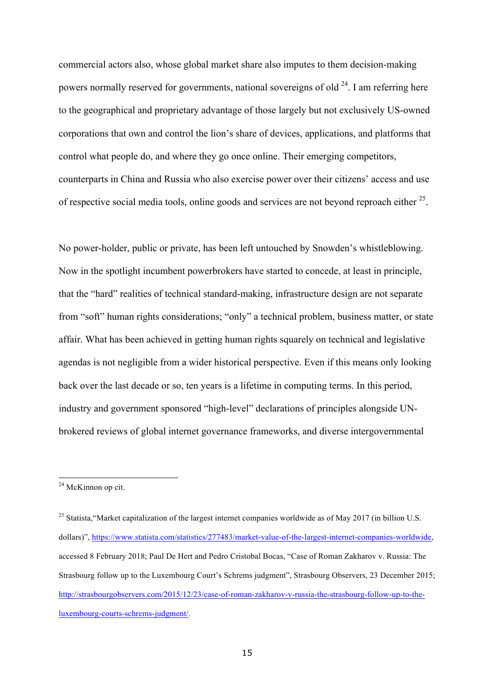commercial actors also, whose global market share also imputes to them decision-making powers normally reserved for governments, national sovereigns of old  $^{24}$ . I am referring here to the geographical and proprietary advantage of those largely but not exclusively US-owned corporations that own and control the lion's share of devices, applications, and platforms that control what people do, and where they go once online. Their emerging competitors, counterparts in China and Russia who also exercise power over their citizens' access and use of respective social media tools, online goods and services are not beyond reproach either  $25$ .

No power-holder, public or private, has been left untouched by Snowden's whistleblowing. Now in the spotlight incumbent powerbrokers have started to concede, at least in principle, that the "hard" realities of technical standard-making, infrastructure design are not separate from "soft" human rights considerations; "only" a technical problem, business matter, or state affair. What has been achieved in getting human rights squarely on technical and legislative agendas is not negligible from a wider historical perspective. Even if this means only looking back over the last decade or so, ten years is a lifetime in computing terms. In this period, industry and government sponsored "high-level" declarations of principles alongside UNbrokered reviews of global internet governance frameworks, and diverse intergovernmental

<sup>&</sup>lt;sup>24</sup> McKinnon op cit.

<sup>&</sup>lt;sup>25</sup> Statista, "Market capitalization of the largest internet companies worldwide as of May 2017 (in billion U.S. dollars)", https://www.statista.com/statistics/277483/market-value-of-the-largest-internet-companies-worldwide, accessed 8 February 2018; Paul De Hert and Pedro Cristobal Bocas, "Case of Roman Zakharov v. Russia: The Strasbourg follow up to the Luxembourg Court's Schrems judgment", Strasbourg Observers, 23 December 2015; http://strasbourgobservers.com/2015/12/23/case-of-roman-zakharov-v-russia-the-strasbourg-follow-up-to-theluxembourg-courts-schrems-judgment/.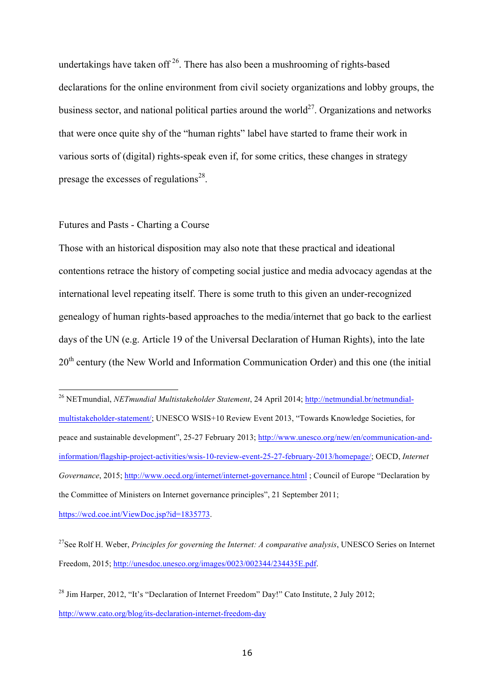undertakings have taken of  $2^6$ . There has also been a mushrooming of rights-based declarations for the online environment from civil society organizations and lobby groups, the business sector, and national political parties around the world<sup>27</sup>. Organizations and networks that were once quite shy of the "human rights" label have started to frame their work in various sorts of (digital) rights-speak even if, for some critics, these changes in strategy presage the excesses of regulations<sup>28</sup>.

# Futures and Pasts - Charting a Course

Those with an historical disposition may also note that these practical and ideational contentions retrace the history of competing social justice and media advocacy agendas at the international level repeating itself. There is some truth to this given an under-recognized genealogy of human rights-based approaches to the media/internet that go back to the earliest days of the UN (e.g. Article 19 of the Universal Declaration of Human Rights), into the late 20<sup>th</sup> century (the New World and Information Communication Order) and this one (the initial

<sup>26</sup> NETmundial, *NETmundial Multistakeholder Statement*, 24 April 2014; http://netmundial.br/netmundialmultistakeholder-statement/; UNESCO WSIS+10 Review Event 2013, "Towards Knowledge Societies, for peace and sustainable development", 25-27 February 2013; http://www.unesco.org/new/en/communication-andinformation/flagship-project-activities/wsis-10-review-event-25-27-february-2013/homepage/; OECD, *Internet Governance*, 2015; http://www.oecd.org/internet/internet-governance.html ; Council of Europe "Declaration by the Committee of Ministers on Internet governance principles", 21 September 2011; https://wcd.coe.int/ViewDoc.jsp?id=1835773.

<sup>27</sup>See Rolf H. Weber, *Principles for governing the Internet: A comparative analysis*, UNESCO Series on Internet Freedom, 2015; http://unesdoc.unesco.org/images/0023/002344/234435E.pdf.

<sup>&</sup>lt;sup>28</sup> Jim Harper, 2012, "It's "Declaration of Internet Freedom" Day!" Cato Institute, 2 July 2012; http://www.cato.org/blog/its-declaration-internet-freedom-day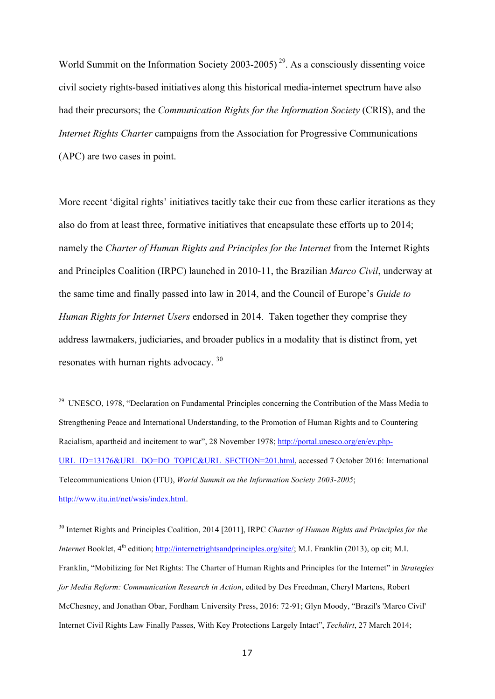World Summit on the Information Society  $2003-2005$ <sup>29</sup>. As a consciously dissenting voice civil society rights-based initiatives along this historical media-internet spectrum have also had their precursors; the *Communication Rights for the Information Society* (CRIS), and the *Internet Rights Charter* campaigns from the Association for Progressive Communications (APC) are two cases in point.

More recent 'digital rights' initiatives tacitly take their cue from these earlier iterations as they also do from at least three, formative initiatives that encapsulate these efforts up to 2014; namely the *Charter of Human Rights and Principles for the Internet* from the Internet Rights and Principles Coalition (IRPC) launched in 2010-11, the Brazilian *Marco Civil*, underway at the same time and finally passed into law in 2014, and the Council of Europe's *Guide to Human Rights for Internet Users* endorsed in 2014. Taken together they comprise they address lawmakers, judiciaries, and broader publics in a modality that is distinct from, yet resonates with human rights advocacy. <sup>30</sup>

-

<sup>30</sup> Internet Rights and Principles Coalition, 2014 [2011], IRPC *Charter of Human Rights and Principles for the Internet* Booklet, 4<sup>th</sup> edition; http://internetrightsandprinciples.org/site/; M.I. Franklin (2013), op cit; M.I. Franklin, "Mobilizing for Net Rights: The Charter of Human Rights and Principles for the Internet" in *Strategies for Media Reform: Communication Research in Action*, edited by Des Freedman, Cheryl Martens, Robert McChesney, and Jonathan Obar, Fordham University Press, 2016: 72-91; Glyn Moody, "Brazil's 'Marco Civil' Internet Civil Rights Law Finally Passes, With Key Protections Largely Intact", *Techdirt*, 27 March 2014;

<sup>&</sup>lt;sup>29</sup> UNESCO, 1978, "Declaration on Fundamental Principles concerning the Contribution of the Mass Media to Strengthening Peace and International Understanding, to the Promotion of Human Rights and to Countering Racialism, apartheid and incitement to war", 28 November 1978; http://portal.unesco.org/en/ev.php-URL\_ID=13176&URL\_DO=DO\_TOPIC&URL\_SECTION=201.html, accessed 7 October 2016: International Telecommunications Union (ITU), *World Summit on the Information Society 2003-2005*; http://www.itu.int/net/wsis/index.html.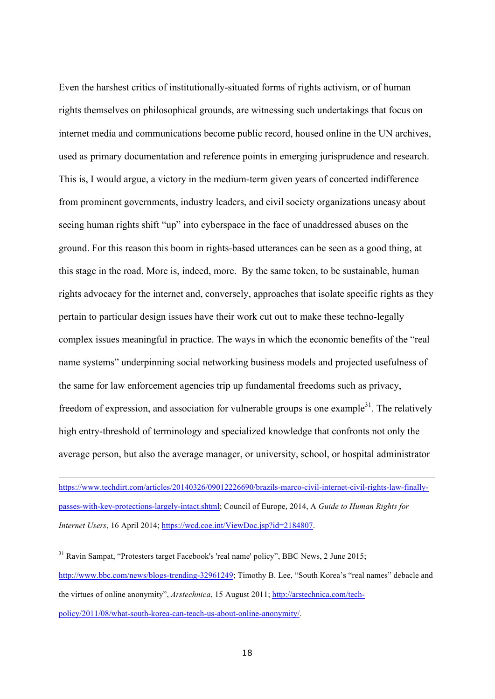Even the harshest critics of institutionally-situated forms of rights activism, or of human rights themselves on philosophical grounds, are witnessing such undertakings that focus on internet media and communications become public record, housed online in the UN archives, used as primary documentation and reference points in emerging jurisprudence and research. This is, I would argue, a victory in the medium-term given years of concerted indifference from prominent governments, industry leaders, and civil society organizations uneasy about seeing human rights shift "up" into cyberspace in the face of unaddressed abuses on the ground. For this reason this boom in rights-based utterances can be seen as a good thing, at this stage in the road. More is, indeed, more. By the same token, to be sustainable, human rights advocacy for the internet and, conversely, approaches that isolate specific rights as they pertain to particular design issues have their work cut out to make these techno-legally complex issues meaningful in practice. The ways in which the economic benefits of the "real name systems" underpinning social networking business models and projected usefulness of the same for law enforcement agencies trip up fundamental freedoms such as privacy, freedom of expression, and association for vulnerable groups is one example<sup>31</sup>. The relatively high entry-threshold of terminology and specialized knowledge that confronts not only the average person, but also the average manager, or university, school, or hospital administrator

https://www.techdirt.com/articles/20140326/09012226690/brazils-marco-civil-internet-civil-rights-law-finallypasses-with-key-protections-largely-intact.shtml; Council of Europe, 2014, A *Guide to Human Rights for Internet Users*, 16 April 2014; https://wcd.coe.int/ViewDoc.jsp?id=2184807.

 $31$  Ravin Sampat, "Protesters target Facebook's 'real name' policy", BBC News, 2 June 2015; http://www.bbc.com/news/blogs-trending-32961249; Timothy B. Lee, "South Korea's "real names" debacle and the virtues of online anonymity", *Arstechnica*, 15 August 2011; http://arstechnica.com/techpolicy/2011/08/what-south-korea-can-teach-us-about-online-anonymity/.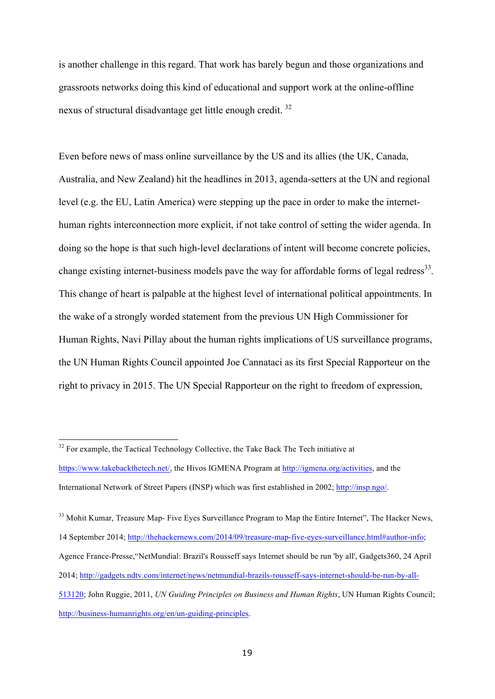is another challenge in this regard. That work has barely begun and those organizations and grassroots networks doing this kind of educational and support work at the online-offline nexus of structural disadvantage get little enough credit.<sup>32</sup>

Even before news of mass online surveillance by the US and its allies (the UK, Canada, Australia, and New Zealand) hit the headlines in 2013, agenda-setters at the UN and regional level (e.g. the EU, Latin America) were stepping up the pace in order to make the internethuman rights interconnection more explicit, if not take control of setting the wider agenda. In doing so the hope is that such high-level declarations of intent will become concrete policies, change existing internet-business models pave the way for affordable forms of legal redress<sup>33</sup>. This change of heart is palpable at the highest level of international political appointments. In the wake of a strongly worded statement from the previous UN High Commissioner for Human Rights, Navi Pillay about the human rights implications of US surveillance programs, the UN Human Rights Council appointed Joe Cannataci as its first Special Rapporteur on the right to privacy in 2015. The UN Special Rapporteur on the right to freedom of expression,

<sup>33</sup> Mohit Kumar, Treasure Map- Five Eves Surveillance Program to Map the Entire Internet", The Hacker News, 14 September 2014; http://thehackernews.com/2014/09/treasure-map-five-eyes-surveillance.html#author-info; Agence France-Presse,"NetMundial: Brazil's Rousseff says Internet should be run 'by all', Gadgets360, 24 April 2014; http://gadgets.ndtv.com/internet/news/netmundial-brazils-rousseff-says-internet-should-be-run-by-all-513120; John Ruggie, 2011, *UN Guiding Principles on Business and Human Rights*, UN Human Rights Council; http://business-humanrights.org/en/un-guiding-principles.

 $32$  For example, the Tactical Technology Collective, the Take Back The Tech initiative at https://www.takebackthetech.net/, the Hivos IGMENA Program at http://igmena.org/activities, and the International Network of Street Papers (INSP) which was first established in 2002; http://insp.ngo/.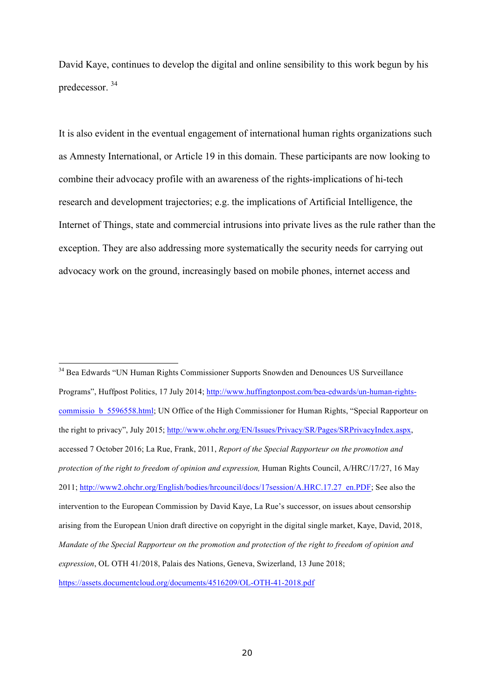David Kaye, continues to develop the digital and online sensibility to this work begun by his predecessor. <sup>34</sup>

It is also evident in the eventual engagement of international human rights organizations such as Amnesty International, or Article 19 in this domain. These participants are now looking to combine their advocacy profile with an awareness of the rights-implications of hi-tech research and development trajectories; e.g. the implications of Artificial Intelligence, the Internet of Things, state and commercial intrusions into private lives as the rule rather than the exception. They are also addressing more systematically the security needs for carrying out advocacy work on the ground, increasingly based on mobile phones, internet access and

<sup>34</sup> Bea Edwards "UN Human Rights Commissioner Supports Snowden and Denounces US Surveillance Programs", Huffpost Politics, 17 July 2014; http://www.huffingtonpost.com/bea-edwards/un-human-rightscommissio b 5596558.html; UN Office of the High Commissioner for Human Rights, "Special Rapporteur on the right to privacy", July 2015; http://www.ohchr.org/EN/Issues/Privacy/SR/Pages/SRPrivacyIndex.aspx, accessed 7 October 2016; La Rue, Frank, 2011, *Report of the Special Rapporteur on the promotion and protection of the right to freedom of opinion and expression,* Human Rights Council, A/HRC/17/27, 16 May 2011; http://www2.ohchr.org/English/bodies/hrcouncil/docs/17session/A.HRC.17.27\_en.PDF; See also the intervention to the European Commission by David Kaye, La Rue's successor, on issues about censorship arising from the European Union draft directive on copyright in the digital single market, Kaye, David, 2018, *Mandate of the Special Rapporteur on the promotion and protection of the right to freedom of opinion and expression*, OL OTH 41/2018, Palais des Nations, Geneva, Swizerland, 13 June 2018; https://assets.documentcloud.org/documents/4516209/OL-OTH-41-2018.pdf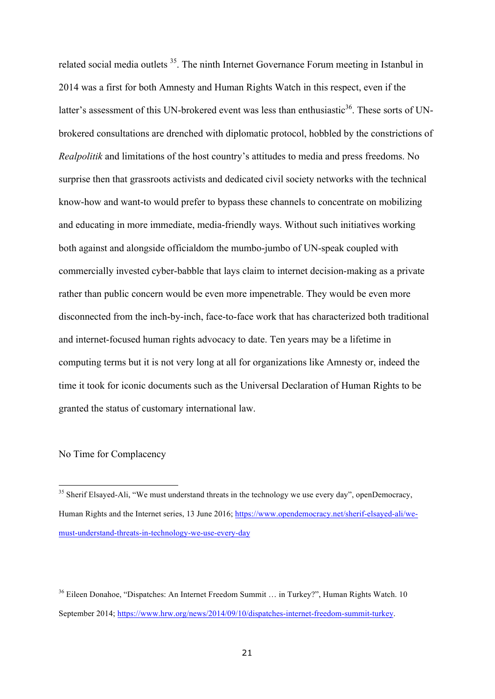related social media outlets<sup>35</sup>. The ninth Internet Governance Forum meeting in Istanbul in 2014 was a first for both Amnesty and Human Rights Watch in this respect, even if the latter's assessment of this UN-brokered event was less than enthusiastic<sup>36</sup>. These sorts of UNbrokered consultations are drenched with diplomatic protocol, hobbled by the constrictions of *Realpolitik* and limitations of the host country's attitudes to media and press freedoms. No surprise then that grassroots activists and dedicated civil society networks with the technical know-how and want-to would prefer to bypass these channels to concentrate on mobilizing and educating in more immediate, media-friendly ways. Without such initiatives working both against and alongside officialdom the mumbo-jumbo of UN-speak coupled with commercially invested cyber-babble that lays claim to internet decision-making as a private rather than public concern would be even more impenetrable. They would be even more disconnected from the inch-by-inch, face-to-face work that has characterized both traditional and internet-focused human rights advocacy to date. Ten years may be a lifetime in computing terms but it is not very long at all for organizations like Amnesty or, indeed the time it took for iconic documents such as the Universal Declaration of Human Rights to be granted the status of customary international law.

## No Time for Complacency

l

<sup>&</sup>lt;sup>35</sup> Sherif Elsaved-Ali, "We must understand threats in the technology we use every day", openDemocracy, Human Rights and the Internet series, 13 June 2016; https://www.opendemocracy.net/sherif-elsayed-ali/wemust-understand-threats-in-technology-we-use-every-day

<sup>36</sup> Eileen Donahoe, "Dispatches: An Internet Freedom Summit … in Turkey?", Human Rights Watch. 10 September 2014; https://www.hrw.org/news/2014/09/10/dispatches-internet-freedom-summit-turkey.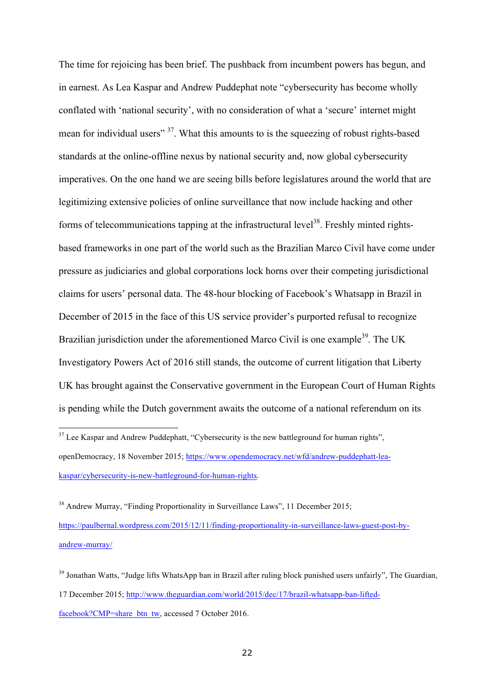The time for rejoicing has been brief. The pushback from incumbent powers has begun, and in earnest. As Lea Kaspar and Andrew Puddephat note "cybersecurity has become wholly conflated with 'national security', with no consideration of what a 'secure' internet might mean for individual users"<sup>37</sup>. What this amounts to is the squeezing of robust rights-based standards at the online-offline nexus by national security and, now global cybersecurity imperatives. On the one hand we are seeing bills before legislatures around the world that are legitimizing extensive policies of online surveillance that now include hacking and other forms of telecommunications tapping at the infrastructural level<sup>38</sup>. Freshly minted rightsbased frameworks in one part of the world such as the Brazilian Marco Civil have come under pressure as judiciaries and global corporations lock horns over their competing jurisdictional claims for users' personal data. The 48-hour blocking of Facebook's Whatsapp in Brazil in December of 2015 in the face of this US service provider's purported refusal to recognize Brazilian jurisdiction under the aforementioned Marco Civil is one example<sup>39</sup>. The UK Investigatory Powers Act of 2016 still stands, the outcome of current litigation that Liberty UK has brought against the Conservative government in the European Court of Human Rights is pending while the Dutch government awaits the outcome of a national referendum on its

 $37$  Lee Kaspar and Andrew Puddephatt, "Cybersecurity is the new battleground for human rights", openDemocracy, 18 November 2015; https://www.opendemocracy.net/wfd/andrew-puddephatt-leakaspar/cybersecurity-is-new-battleground-for-human-rights.

<sup>&</sup>lt;sup>38</sup> Andrew Murray, "Finding Proportionality in Surveillance Laws", 11 December 2015; https://paulbernal.wordpress.com/2015/12/11/finding-proportionality-in-surveillance-laws-guest-post-byandrew-murray/

<sup>&</sup>lt;sup>39</sup> Jonathan Watts, "Judge lifts WhatsApp ban in Brazil after ruling block punished users unfairly", The Guardian, 17 December 2015; http://www.theguardian.com/world/2015/dec/17/brazil-whatsapp-ban-liftedfacebook?CMP=share\_btn\_tw, accessed 7 October 2016.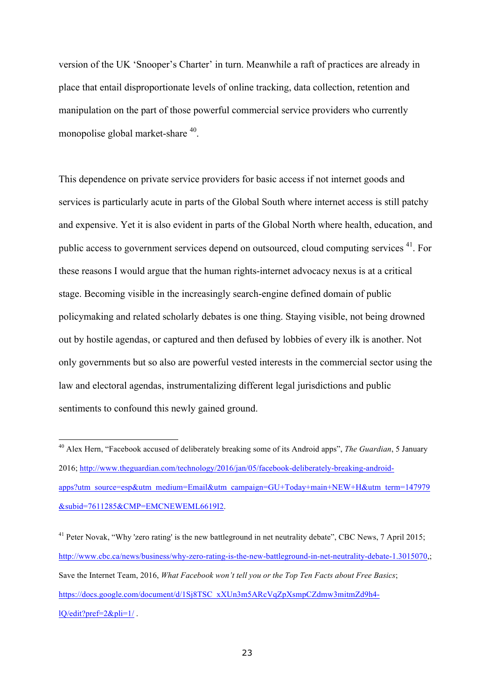version of the UK 'Snooper's Charter' in turn. Meanwhile a raft of practices are already in place that entail disproportionate levels of online tracking, data collection, retention and manipulation on the part of those powerful commercial service providers who currently monopolise global market-share <sup>40</sup>.

This dependence on private service providers for basic access if not internet goods and services is particularly acute in parts of the Global South where internet access is still patchy and expensive. Yet it is also evident in parts of the Global North where health, education, and public access to government services depend on outsourced, cloud computing services <sup>41</sup>. For these reasons I would argue that the human rights-internet advocacy nexus is at a critical stage. Becoming visible in the increasingly search-engine defined domain of public policymaking and related scholarly debates is one thing. Staying visible, not being drowned out by hostile agendas, or captured and then defused by lobbies of every ilk is another. Not only governments but so also are powerful vested interests in the commercial sector using the law and electoral agendas, instrumentalizing different legal jurisdictions and public sentiments to confound this newly gained ground.

<sup>40</sup> Alex Hern, "Facebook accused of deliberately breaking some of its Android apps", *The Guardian*, 5 January 2016; http://www.theguardian.com/technology/2016/jan/05/facebook-deliberately-breaking-androidapps?utm\_source=esp&utm\_medium=Email&utm\_campaign=GU+Today+main+NEW+H&utm\_term=147979 &subid=7611285&CMP=EMCNEWEML6619I2.

<sup>&</sup>lt;sup>41</sup> Peter Novak, "Why 'zero rating' is the new battleground in net neutrality debate", CBC News, 7 April 2015; http://www.cbc.ca/news/business/why-zero-rating-is-the-new-battleground-in-net-neutrality-debate-1.3015070,; Save the Internet Team, 2016, *What Facebook won't tell you or the Top Ten Facts about Free Basics*; https://docs.google.com/document/d/1Sj8TSC\_xXUn3m5ARcVqZpXsmpCZdmw3mitmZd9h4lQ/edit?pref=2&pli=1/ .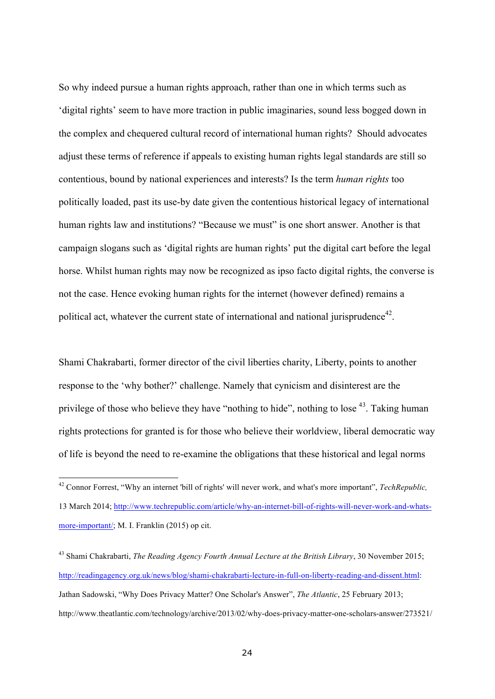So why indeed pursue a human rights approach, rather than one in which terms such as 'digital rights' seem to have more traction in public imaginaries, sound less bogged down in the complex and chequered cultural record of international human rights? Should advocates adjust these terms of reference if appeals to existing human rights legal standards are still so contentious, bound by national experiences and interests? Is the term *human rights* too politically loaded, past its use-by date given the contentious historical legacy of international human rights law and institutions? "Because we must" is one short answer. Another is that campaign slogans such as 'digital rights are human rights' put the digital cart before the legal horse. Whilst human rights may now be recognized as ipso facto digital rights, the converse is not the case. Hence evoking human rights for the internet (however defined) remains a political act, whatever the current state of international and national jurisprudence<sup>42</sup>.

Shami Chakrabarti, former director of the civil liberties charity, Liberty, points to another response to the 'why bother?' challenge. Namely that cynicism and disinterest are the privilege of those who believe they have "nothing to hide", nothing to lose <sup>43</sup>. Taking human rights protections for granted is for those who believe their worldview, liberal democratic way of life is beyond the need to re-examine the obligations that these historical and legal norms

<sup>42</sup> Connor Forrest, "Why an internet 'bill of rights' will never work, and what's more important", *TechRepublic,* 13 March 2014; http://www.techrepublic.com/article/why-an-internet-bill-of-rights-will-never-work-and-whatsmore-important/; M. I. Franklin (2015) op cit.

<sup>43</sup> Shami Chakrabarti, *The Reading Agency Fourth Annual Lecture at the British Library*, 30 November 2015; http://readingagency.org.uk/news/blog/shami-chakrabarti-lecture-in-full-on-liberty-reading-and-dissent.html: Jathan Sadowski, "Why Does Privacy Matter? One Scholar's Answer", *The Atlantic*, 25 February 2013; http://www.theatlantic.com/technology/archive/2013/02/why-does-privacy-matter-one-scholars-answer/273521/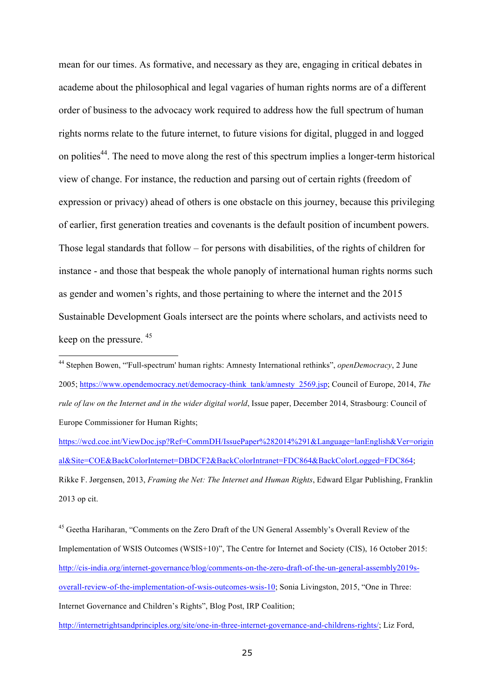mean for our times. As formative, and necessary as they are, engaging in critical debates in academe about the philosophical and legal vagaries of human rights norms are of a different order of business to the advocacy work required to address how the full spectrum of human rights norms relate to the future internet, to future visions for digital, plugged in and logged on polities<sup>44</sup>. The need to move along the rest of this spectrum implies a longer-term historical view of change. For instance, the reduction and parsing out of certain rights (freedom of expression or privacy) ahead of others is one obstacle on this journey, because this privileging of earlier, first generation treaties and covenants is the default position of incumbent powers. Those legal standards that follow – for persons with disabilities, of the rights of children for instance - and those that bespeak the whole panoply of international human rights norms such as gender and women's rights, and those pertaining to where the internet and the 2015 Sustainable Development Goals intersect are the points where scholars, and activists need to keep on the pressure. <sup>45</sup>

<sup>44</sup> Stephen Bowen, "'Full-spectrum' human rights: Amnesty International rethinks", *openDemocracy*, 2 June 2005; https://www.opendemocracy.net/democracy-think\_tank/amnesty\_2569.jsp; Council of Europe, 2014, *The rule of law on the Internet and in the wider digital world*, Issue paper, December 2014, Strasbourg: Council of Europe Commissioner for Human Rights;

-

https://wcd.coe.int/ViewDoc.jsp?Ref=CommDH/IssuePaper%282014%291&Language=lanEnglish&Ver=origin al&Site=COE&BackColorInternet=DBDCF2&BackColorIntranet=FDC864&BackColorLogged=FDC864; Rikke F. Jørgensen, 2013, *Framing the Net: The Internet and Human Rights*, Edward Elgar Publishing, Franklin 2013 op cit.

<sup>45</sup> Geetha Hariharan, "Comments on the Zero Draft of the UN General Assembly's Overall Review of the Implementation of WSIS Outcomes (WSIS+10)", The Centre for Internet and Society (CIS), 16 October 2015: http://cis-india.org/internet-governance/blog/comments-on-the-zero-draft-of-the-un-general-assembly2019soverall-review-of-the-implementation-of-wsis-outcomes-wsis-10; Sonia Livingston, 2015, "One in Three: Internet Governance and Children's Rights", Blog Post, IRP Coalition;

http://internetrightsandprinciples.org/site/one-in-three-internet-governance-and-childrens-rights/; Liz Ford,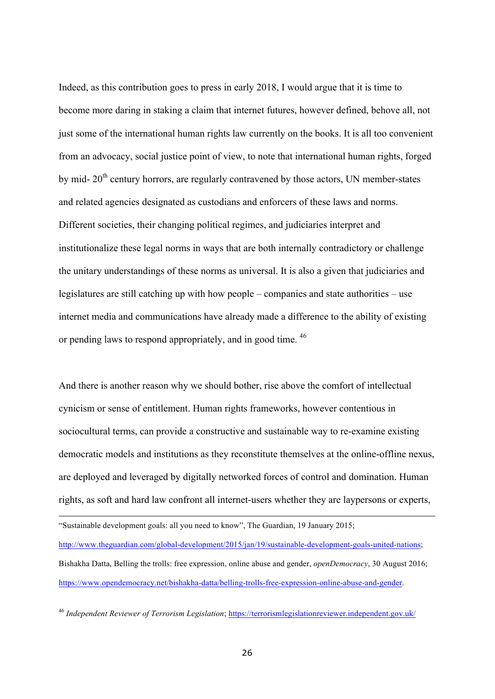Indeed, as this contribution goes to press in early 2018, I would argue that it is time to become more daring in staking a claim that internet futures, however defined, behove all, not just some of the international human rights law currently on the books. It is all too convenient from an advocacy, social justice point of view, to note that international human rights, forged by mid-  $20<sup>th</sup>$  century horrors, are regularly contravened by those actors, UN member-states and related agencies designated as custodians and enforcers of these laws and norms. Different societies, their changing political regimes, and judiciaries interpret and institutionalize these legal norms in ways that are both internally contradictory or challenge the unitary understandings of these norms as universal. It is also a given that judiciaries and legislatures are still catching up with how people – companies and state authorities – use internet media and communications have already made a difference to the ability of existing or pending laws to respond appropriately, and in good time. 46

And there is another reason why we should bother, rise above the comfort of intellectual cynicism or sense of entitlement. Human rights frameworks, however contentious in sociocultural terms, can provide a constructive and sustainable way to re-examine existing democratic models and institutions as they reconstitute themselves at the online-offline nexus, are deployed and leveraged by digitally networked forces of control and domination. Human rights, as soft and hard law confront all internet-users whether they are laypersons or experts,

"Sustainable development goals: all you need to know", The Guardian, 19 January 2015; http://www.theguardian.com/global-development/2015/jan/19/sustainable-development-goals-united-nations; Bishakha Datta, Belling the trolls: free expression, online abuse and gender, *openDemocracy*, 30 August 2016; https://www.opendemocracy.net/bishakha-datta/belling-trolls-free-expression-online-abuse-and-gender.

<sup>46</sup> *Independent Reviewer of Terrorism Legislation*; https://terrorismlegislationreviewer.independent.gov.uk/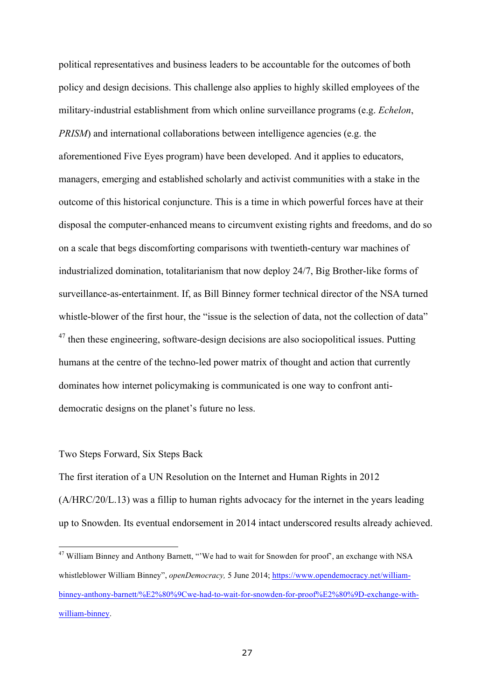political representatives and business leaders to be accountable for the outcomes of both policy and design decisions. This challenge also applies to highly skilled employees of the military-industrial establishment from which online surveillance programs (e.g. *Echelon*, *PRISM*) and international collaborations between intelligence agencies (e.g. the aforementioned Five Eyes program) have been developed. And it applies to educators, managers, emerging and established scholarly and activist communities with a stake in the outcome of this historical conjuncture. This is a time in which powerful forces have at their disposal the computer-enhanced means to circumvent existing rights and freedoms, and do so on a scale that begs discomforting comparisons with twentieth-century war machines of industrialized domination, totalitarianism that now deploy 24/7, Big Brother-like forms of surveillance-as-entertainment. If, as Bill Binney former technical director of the NSA turned whistle-blower of the first hour, the "issue is the selection of data, not the collection of data"  $47$  then these engineering, software-design decisions are also sociopolitical issues. Putting humans at the centre of the techno-led power matrix of thought and action that currently dominates how internet policymaking is communicated is one way to confront antidemocratic designs on the planet's future no less.

## Two Steps Forward, Six Steps Back

The first iteration of a UN Resolution on the Internet and Human Rights in 2012 (A/HRC/20/L.13) was a fillip to human rights advocacy for the internet in the years leading up to Snowden. Its eventual endorsement in 2014 intact underscored results already achieved.

<sup>&</sup>lt;sup>47</sup> William Binney and Anthony Barnett, "'We had to wait for Snowden for proof', an exchange with NSA whistleblower William Binney", *openDemocracy,* 5 June 2014; https://www.opendemocracy.net/williambinney-anthony-barnett/%E2%80%9Cwe-had-to-wait-for-snowden-for-proof%E2%80%9D-exchange-withwilliam-binney.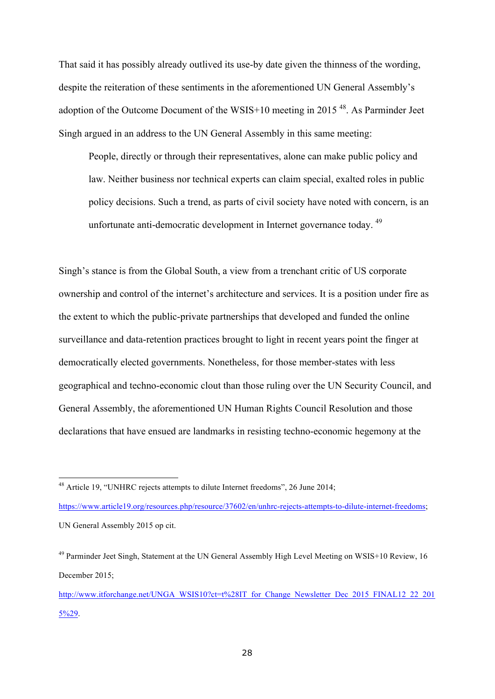That said it has possibly already outlived its use-by date given the thinness of the wording, despite the reiteration of these sentiments in the aforementioned UN General Assembly's adoption of the Outcome Document of the WSIS+10 meeting in 2015 48. As Parminder Jeet Singh argued in an address to the UN General Assembly in this same meeting:

People, directly or through their representatives, alone can make public policy and law. Neither business nor technical experts can claim special, exalted roles in public policy decisions. Such a trend, as parts of civil society have noted with concern, is an unfortunate anti-democratic development in Internet governance today. <sup>49</sup>

Singh's stance is from the Global South, a view from a trenchant critic of US corporate ownership and control of the internet's architecture and services. It is a position under fire as the extent to which the public-private partnerships that developed and funded the online surveillance and data-retention practices brought to light in recent years point the finger at democratically elected governments. Nonetheless, for those member-states with less geographical and techno-economic clout than those ruling over the UN Security Council, and General Assembly, the aforementioned UN Human Rights Council Resolution and those declarations that have ensued are landmarks in resisting techno-economic hegemony at the

https://www.article19.org/resources.php/resource/37602/en/unhrc-rejects-attempts-to-dilute-internet-freedoms; UN General Assembly 2015 op cit.

<sup>48</sup> Article 19, "UNHRC rejects attempts to dilute Internet freedoms", 26 June 2014;

<sup>&</sup>lt;sup>49</sup> Parminder Jeet Singh, Statement at the UN General Assembly High Level Meeting on WSIS+10 Review, 16 December 2015;

http://www.itforchange.net/UNGA\_WSIS10?ct=t%28IT\_for\_Change\_Newsletter\_Dec\_2015\_FINAL12\_22\_201 5%29.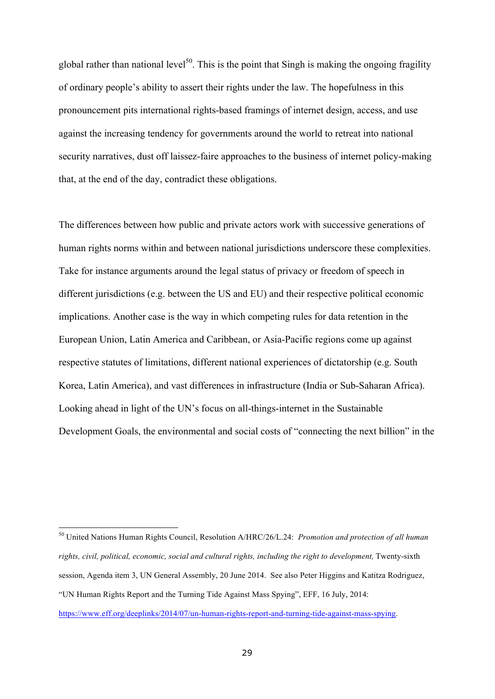global rather than national level<sup>50</sup>. This is the point that Singh is making the ongoing fragility of ordinary people's ability to assert their rights under the law. The hopefulness in this pronouncement pits international rights-based framings of internet design, access, and use against the increasing tendency for governments around the world to retreat into national security narratives, dust off laissez-faire approaches to the business of internet policy-making that, at the end of the day, contradict these obligations.

The differences between how public and private actors work with successive generations of human rights norms within and between national jurisdictions underscore these complexities. Take for instance arguments around the legal status of privacy or freedom of speech in different jurisdictions (e.g. between the US and EU) and their respective political economic implications. Another case is the way in which competing rules for data retention in the European Union, Latin America and Caribbean, or Asia-Pacific regions come up against respective statutes of limitations, different national experiences of dictatorship (e.g. South Korea, Latin America), and vast differences in infrastructure (India or Sub-Saharan Africa). Looking ahead in light of the UN's focus on all-things-internet in the Sustainable Development Goals, the environmental and social costs of "connecting the next billion" in the

<sup>50</sup> United Nations Human Rights Council, Resolution A/HRC/26/L.24: *Promotion and protection of all human rights, civil, political, economic, social and cultural rights, including the right to development,* Twenty-sixth session, Agenda item 3, UN General Assembly, 20 June 2014. See also Peter Higgins and Katitza Rodriguez, "UN Human Rights Report and the Turning Tide Against Mass Spying", EFF, 16 July, 2014: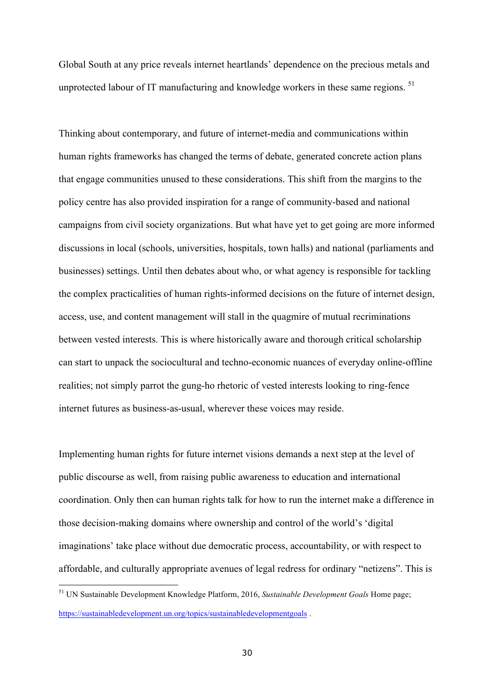Global South at any price reveals internet heartlands' dependence on the precious metals and unprotected labour of IT manufacturing and knowledge workers in these same regions.<sup>51</sup>

Thinking about contemporary, and future of internet-media and communications within human rights frameworks has changed the terms of debate, generated concrete action plans that engage communities unused to these considerations. This shift from the margins to the policy centre has also provided inspiration for a range of community-based and national campaigns from civil society organizations. But what have yet to get going are more informed discussions in local (schools, universities, hospitals, town halls) and national (parliaments and businesses) settings. Until then debates about who, or what agency is responsible for tackling the complex practicalities of human rights-informed decisions on the future of internet design, access, use, and content management will stall in the quagmire of mutual recriminations between vested interests. This is where historically aware and thorough critical scholarship can start to unpack the sociocultural and techno-economic nuances of everyday online-offline realities; not simply parrot the gung-ho rhetoric of vested interests looking to ring-fence internet futures as business-as-usual, wherever these voices may reside.

Implementing human rights for future internet visions demands a next step at the level of public discourse as well, from raising public awareness to education and international coordination. Only then can human rights talk for how to run the internet make a difference in those decision-making domains where ownership and control of the world's 'digital imaginations' take place without due democratic process, accountability, or with respect to affordable, and culturally appropriate avenues of legal redress for ordinary "netizens". This is

<sup>51</sup> UN Sustainable Development Knowledge Platform, 2016, *Sustainable Development Goals* Home page; https://sustainabledevelopment.un.org/topics/sustainabledevelopmentgoals .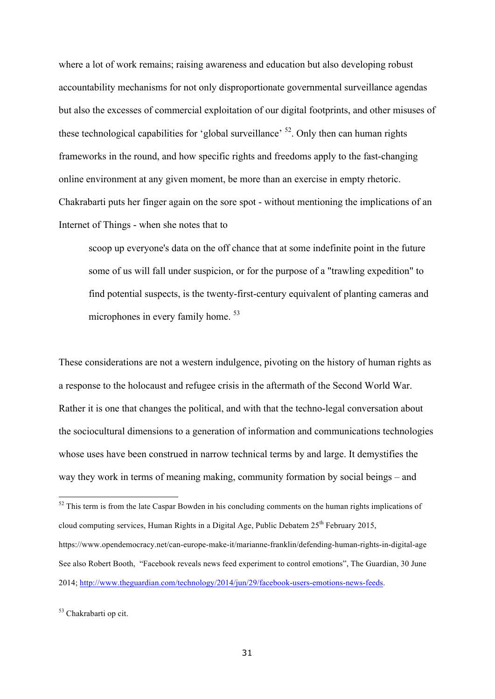where a lot of work remains; raising awareness and education but also developing robust accountability mechanisms for not only disproportionate governmental surveillance agendas but also the excesses of commercial exploitation of our digital footprints, and other misuses of these technological capabilities for 'global surveillance'  $52$ . Only then can human rights frameworks in the round, and how specific rights and freedoms apply to the fast-changing online environment at any given moment, be more than an exercise in empty rhetoric. Chakrabarti puts her finger again on the sore spot - without mentioning the implications of an Internet of Things - when she notes that to

scoop up everyone's data on the off chance that at some indefinite point in the future some of us will fall under suspicion, or for the purpose of a "trawling expedition" to find potential suspects, is the twenty-first-century equivalent of planting cameras and microphones in every family home.<sup>53</sup>

These considerations are not a western indulgence, pivoting on the history of human rights as a response to the holocaust and refugee crisis in the aftermath of the Second World War. Rather it is one that changes the political, and with that the techno-legal conversation about the sociocultural dimensions to a generation of information and communications technologies whose uses have been construed in narrow technical terms by and large. It demystifies the way they work in terms of meaning making, community formation by social beings – and

 $52$  This term is from the late Caspar Bowden in his concluding comments on the human rights implications of cloud computing services, Human Rights in a Digital Age, Public Debatem  $25<sup>th</sup>$  February 2015, https://www.opendemocracy.net/can-europe-make-it/marianne-franklin/defending-human-rights-in-digital-age See also Robert Booth, "Facebook reveals news feed experiment to control emotions", The Guardian, 30 June 2014; http://www.theguardian.com/technology/2014/jun/29/facebook-users-emotions-news-feeds.

<sup>53</sup> Chakrabarti op cit.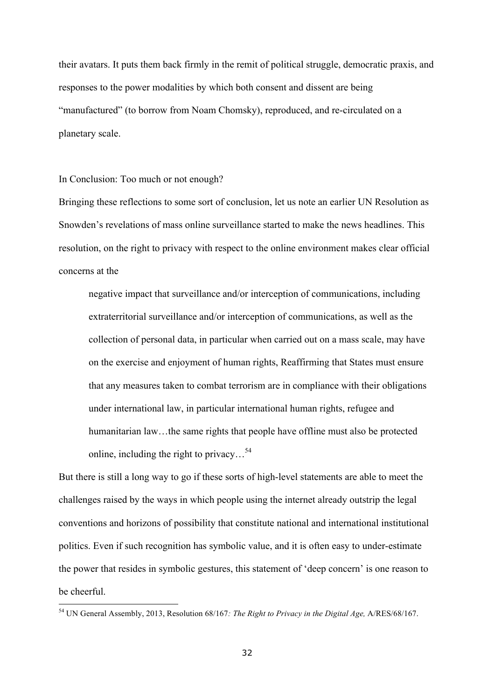their avatars. It puts them back firmly in the remit of political struggle, democratic praxis, and responses to the power modalities by which both consent and dissent are being "manufactured" (to borrow from Noam Chomsky), reproduced, and re-circulated on a planetary scale.

In Conclusion: Too much or not enough?

Bringing these reflections to some sort of conclusion, let us note an earlier UN Resolution as Snowden's revelations of mass online surveillance started to make the news headlines. This resolution, on the right to privacy with respect to the online environment makes clear official concerns at the

negative impact that surveillance and/or interception of communications, including extraterritorial surveillance and/or interception of communications, as well as the collection of personal data, in particular when carried out on a mass scale, may have on the exercise and enjoyment of human rights, Reaffirming that States must ensure that any measures taken to combat terrorism are in compliance with their obligations under international law, in particular international human rights, refugee and humanitarian law...the same rights that people have offline must also be protected online, including the right to privacy…54

But there is still a long way to go if these sorts of high-level statements are able to meet the challenges raised by the ways in which people using the internet already outstrip the legal conventions and horizons of possibility that constitute national and international institutional politics. Even if such recognition has symbolic value, and it is often easy to under-estimate the power that resides in symbolic gestures, this statement of 'deep concern' is one reason to be cheerful.

<sup>54</sup> UN General Assembly, 2013, Resolution 68/167*: The Right to Privacy in the Digital Age,* A/RES/68/167.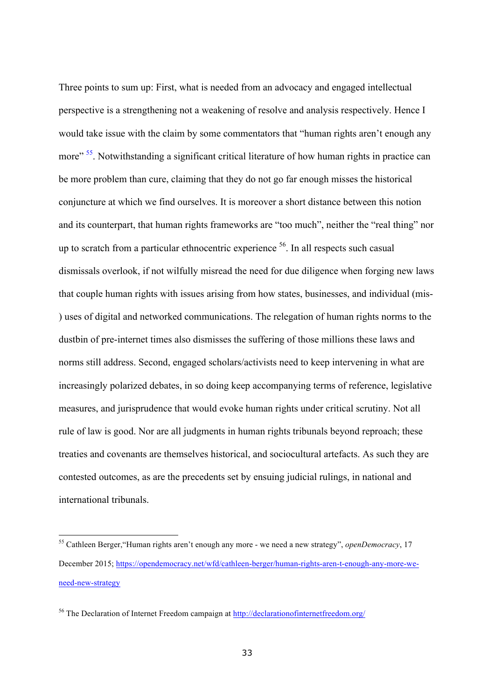Three points to sum up: First, what is needed from an advocacy and engaged intellectual perspective is a strengthening not a weakening of resolve and analysis respectively. Hence I would take issue with the claim by some commentators that "human rights aren't enough any more"<sup>55</sup>. Notwithstanding a significant critical literature of how human rights in practice can be more problem than cure, claiming that they do not go far enough misses the historical conjuncture at which we find ourselves. It is moreover a short distance between this notion and its counterpart, that human rights frameworks are "too much", neither the "real thing" nor up to scratch from a particular ethnocentric experience <sup>56</sup>. In all respects such casual dismissals overlook, if not wilfully misread the need for due diligence when forging new laws that couple human rights with issues arising from how states, businesses, and individual (mis- ) uses of digital and networked communications. The relegation of human rights norms to the dustbin of pre-internet times also dismisses the suffering of those millions these laws and norms still address. Second, engaged scholars/activists need to keep intervening in what are increasingly polarized debates, in so doing keep accompanying terms of reference, legislative measures, and jurisprudence that would evoke human rights under critical scrutiny. Not all rule of law is good. Nor are all judgments in human rights tribunals beyond reproach; these treaties and covenants are themselves historical, and sociocultural artefacts. As such they are contested outcomes, as are the precedents set by ensuing judicial rulings, in national and international tribunals.

l

<sup>55</sup> Cathleen Berger,"Human rights aren't enough any more - we need a new strategy", *openDemocracy*, 17 December 2015; https://opendemocracy.net/wfd/cathleen-berger/human-rights-aren-t-enough-any-more-weneed-new-strategy

<sup>56</sup> The Declaration of Internet Freedom campaign at http://declarationofinternetfreedom.org/